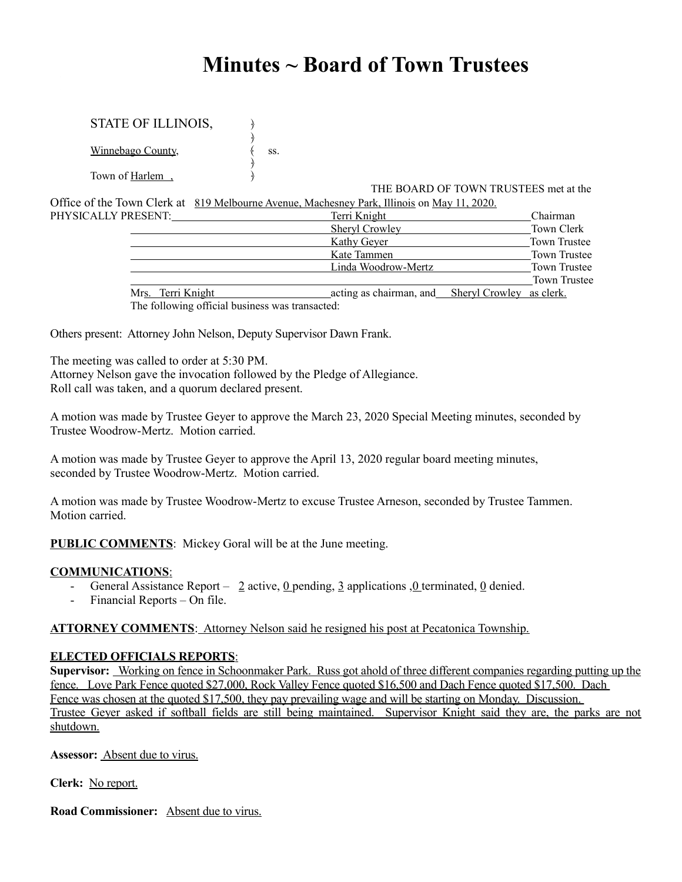# **Minutes ~ Board of Town Trustees**

# STATE OF ILLINOIS,

﴿ Winnebago County,  $\langle$  ss. ﴿

Town of Harlem,

THE BOARD OF TOWN TRUSTEES met at the

Office of the Town Clerk at 819 Melbourne Avenue, Machesney Park, Illinois on May 11, 2020. PHYSICALLY P

| PRESENT:          | Terri Knight                                     | Chairman            |
|-------------------|--------------------------------------------------|---------------------|
|                   | <b>Sheryl Crowley</b>                            | Town Clerk          |
|                   | Kathy Geyer                                      | Town Trustee        |
|                   | Kate Tammen                                      | Town Trustee        |
|                   | Linda Woodrow-Mertz                              | Town Trustee        |
|                   |                                                  | <b>Town Trustee</b> |
| Mrs. Terri Knight | acting as chairman, and Sheryl Crowley as clerk. |                     |
|                   |                                                  |                     |

The following official business was transacted:

Others present: Attorney John Nelson, Deputy Supervisor Dawn Frank.

The meeting was called to order at 5:30 PM.

Attorney Nelson gave the invocation followed by the Pledge of Allegiance. Roll call was taken, and a quorum declared present.

A motion was made by Trustee Geyer to approve the March 23, 2020 Special Meeting minutes, seconded by Trustee Woodrow-Mertz. Motion carried.

A motion was made by Trustee Geyer to approve the April 13, 2020 regular board meeting minutes, seconded by Trustee Woodrow-Mertz. Motion carried.

A motion was made by Trustee Woodrow-Mertz to excuse Trustee Arneson, seconded by Trustee Tammen. Motion carried.

**PUBLIC COMMENTS**: Mickey Goral will be at the June meeting.

# **COMMUNICATIONS**:

- General Assistance Report 2 active,  $0$  pending, 3 applications , 0 terminated, 0 denied.
- Financial Reports On file.

**ATTORNEY COMMENTS**: Attorney Nelson said he resigned his post at Pecatonica Township.

# **ELECTED OFFICIALS REPORTS**:

**Supervisor:** Working on fence in Schoonmaker Park. Russ got ahold of three different companies regarding putting up the fence. Love Park Fence quoted \$27,000, Rock Valley Fence quoted \$16,500 and Dach Fence quoted \$17,500. Dach Fence was chosen at the quoted \$17,500, they pay prevailing wage and will be starting on Monday. Discussion. Trustee Geyer asked if softball fields are still being maintained. Supervisor Knight said they are, the parks are not shutdown.

**Assessor:** Absent due to virus.

**Clerk:** No report.

**Road Commissioner:** Absent due to virus.